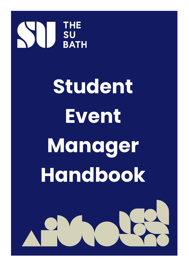

# **Student Event Manager Handbook**

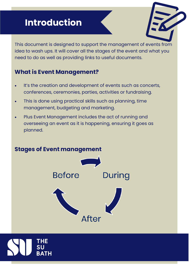### **Introduction**



This document is designed to support the management of events from idea to wash ups. It will cover all the stages of the event and what you need to do as well as providing links to useful documents.

#### **What is Event Management?**

- It's the creation and development of events such as concerts, conferences, ceremonies, parties, activities or fundraising.
- This is done using practical skills such as planning, time management, budgeting and marketing.
- Plus Event Management includes the act of running and overseeing an event as it is happening, ensuring it goes as planned.

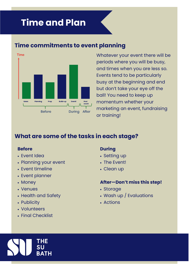### **Time and Plan**

#### **Time commitments to event planning**



Whatever your event there will be periods where you will be busy, and times when you are less so. Events tend to be particularly busy at the beginning and end but don't take your eye off the ball! You need to keep up momentum whether your marketing an event, fundraising or training!

#### **What are some of the tasks in each stage?**

#### **Before**

- Event Idea
- Planning your event
- Event timeline
- Event planner
- Money
- Venues
- Health and Safety
- Publicity
- Volunteers
- Final Checklist

#### **During**

- Setting up
- The Event!
- Clean up

#### **After—Don't miss this step!**

- Storage
- Wash up / Evaluations
- Actions

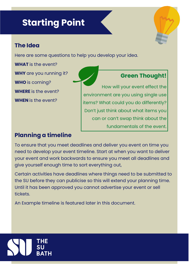### **Starting Point**

#### **The Idea**

Here are some questions to help you develop your idea.

**WHAT** is the event? **WHY** are you running it?

**WHO** is coming?

**WHERE** is the event?

**WHEN** is the event?

#### **Green Thought!**

How will your event effect the environment are you using single use items? What could you do differently? Don't just think about what items you can or can't swap think about the fundamentals of the event.

#### **Planning a timeline**

To ensure that you meet deadlines and deliver you event on time you need to develop your event timeline. Start at when you want to deliver your event and work backwards to ensure you meet all deadlines and give yourself enough time to sort everything out,

Certain activities have deadlines where things need to be submitted to the SU before they can publicise so this will extend your planning time. Until it has been approved you cannot advertise your event or sell tickets.

An Example timeline is featured later in this document.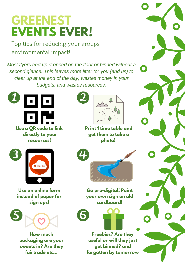# **GREENEST EVENTS EVER!**

Top tips for reducing your groups environmental impact!

Most flyers end up dropped on the floor or binned without a second glance. This leaves more litter for you (and us) to clear up at the end of the day, wastes money in your budgets, and wastes resources.



directly to your resources!



Use an online form instead of paper for sign ups!



**How much** packaging are your sweets in? Are they fairtrade etc...





**Print 1 time table and** get them to take a photo!



Go pre-digital! Paint your own sign on old cardboard!



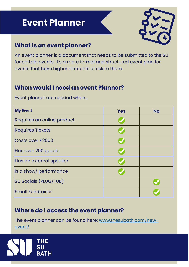### **Event Planner**



#### **What is an event planner?**

An event planner is a document that needs to be submitted to the SU for certain events, it's a more formal and structured event plan for events that have higher elements of risk to them.

#### **When would I need an event Planner?**

Event planner are needed when…

| <b>My Event</b>            | <b>Yes</b> | <b>No</b> |
|----------------------------|------------|-----------|
| Requires an online product |            |           |
| <b>Requires Tickets</b>    |            |           |
| Costs over £2000           |            |           |
| Has over 200 guests        |            |           |
| Has an external speaker    |            |           |
| Is a show/ performance     |            |           |
| SU Socials (PLUG/TUB)      |            |           |
| <b>Small Fundraiser</b>    |            |           |

#### **Where do I access the event planner?**

The event planner can be found here: [www.thesubath.com/new](http://www.thesubath.com/new-event/)[event/](http://www.thesubath.com/new-event/)

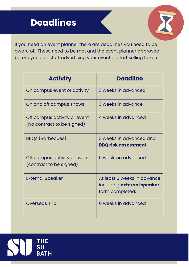### **Deadlines**

THE<br>SU<br>BATH



If you need an event planner there are deadlines you need to be aware of. These need to be met and the event planner approved before you can start advertising your event or start selling tickets.

| <b>Activity</b>                                            | <b>Deadline</b>                                                              |
|------------------------------------------------------------|------------------------------------------------------------------------------|
| On campus event or activity                                | 3 weeks in advanced                                                          |
| On and off campus shows                                    | 3 weeks in advance                                                           |
| Off campus activity or event<br>(No contract to be signed) | 4 weeks in advanced                                                          |
| <b>BBQs (Barbecues)</b>                                    | 3 weeks in advanced and<br><b>BBQ risk assessment</b>                        |
| Off campus activity or event<br>(contract to be signed)    | 6 weeks in advanced                                                          |
| <b>External Speaker</b>                                    | At least 3 weeks in advance<br>including external speaker<br>form completed. |
| <b>Overseas Trip</b>                                       | 6 weeks in advanced                                                          |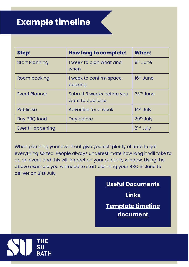### **Example timeline**

| <b>Step:</b>           | <b>How long to complete:</b>                   | When:                |
|------------------------|------------------------------------------------|----------------------|
| <b>Start Planning</b>  | I week to plan what and<br>when                | 9 <sup>th</sup> June |
| Room booking           | I week to confirm space<br>booking             | $16th$ June          |
| <b>Event Planner</b>   | Submit 3 weeks before you<br>want to publicise | 23rd June            |
| <b>Publicise</b>       | Advertise for a week                           | $14th$ July          |
| <b>Buy BBQ food</b>    | Day before                                     | 20th July            |
| <b>Event Happening</b> |                                                | $21st$ July          |

When planning your event out give yourself plenty of time to get everything sorted. People always underestimate how long it will take to do an event and this will impact on your publicity window. Using the above example you will need to start planning your BBQ in June to deliver on 21st July.

#### **Useful Documents**

**Links** 

#### **[Template timeline](https://www.thesubath.com/pageassets/resources/docsforms/Event-Timeline-Template1.xls)  [document](https://www.thesubath.com/pageassets/resources/docsforms/Event-Timeline-Template1.xls)**

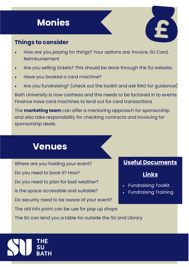### **Monies**

#### **Things to consider**

- How are you paying for things? Your options are: Invoice, SU Card, Reimbursement
- Are you selling tickets? This should be done through the SU website.
- Have you booked a card machine?
- Are you fundraising? (check out the toolkit and ask RAG for guidance)

Bath University is now cashless and this needs to be factored in to events. Finance have card machines to lend out for card transactions

The **marketing team** can offer a mentoring approach for sponsorship and also take responsibility for checking contracts and invoicing for sponsorship deals.

### **Venues**

Where are you holding your event? Do you need to book it? How? Do you need to plan for bad weather? Is the space accessible and suitable? Do security need to be aware of your event? The old info point can be use for pop up shops

#### **Useful Documents**

#### **Links**

- Fundraising Toolkit
- Fundraising Training

The SU can lend you a table for outside the SU and Library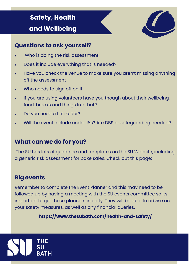### **Safety, Health and Wellbeing**



#### **Questions to ask yourself?**

- Who is doing the risk assessment
- Does it include everything that is needed?
- Have you check the venue to make sure you aren't missing anything off the assessment
- Who needs to sign off on it
- If you are using volunteers have you though about their wellbeing, food, breaks and things like that?
- Do you need a first aider?
- Will the event include under 18s? Are DBS or safeguarding needed?

#### **What can we do for you?**

The SU has lots of guidance and templates on the SU Website, including a generic risk assessment for bake sales. Check out this page:

#### **Big events**

Remember to complete the Event Planner and this may need to be followed up by having a meeting with the SU events committee so its important to get those planners in early. They will be able to advise on your safety measures, as well as any financial queries.

#### **https://www.thesubath.com/health-and-safety/**

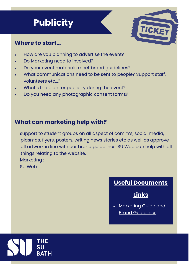### **Publicity**



#### **Where to start…**

- How are you planning to advertise the event?
- Do Marketing need to involved?
- Do your event materials meet brand guidelines?
- What communications need to be sent to people? Support staff, volunteers etc...?
- What's the plan for publicity during the event?
- Do you need any photographic consent forms?

#### **What can marketing help with?**

support to student groups on all aspect of comm's, social media, plasmas, flyers, posters, writing news stories etc as well as approve all artwork in line with our brand guidelines. SU Web can help with all things relating to the website. Marketing :

SU Web:

#### **Useful Documents**

#### **Links**

• [Marketing Guide](https://www.thesubath.com/marketing/) [and](https://www.thesubath.com/marketing/)  [Brand Guidelines](https://www.thesubath.com/marketing/)

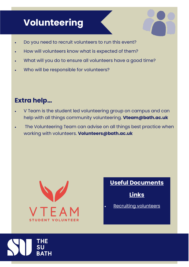### **Volunteering**

- Do you need to recruit volunteers to run this event?
- How will volunteers know what is expected of them?
- What will you do to ensure all volunteers have a good time?
- Who will be responsible for volunteers?

### **Extra help…**

- V Team is the student led volunteering group on campus and can help with all things community volunteering. **Vteam@bath.ac.uk**
- The Volunteering Team can advise on all things best practice when working with volunteers. **Volunteers@bath.ac.uk**



#### **Useful Documents**

**Links** 

**[Recruiting volunteers](https://www.thesubath.com/resources/thesu/Event-Management-Recruiting-Student-Volunteers/)** 

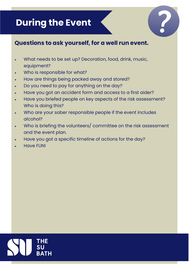### **During the Event**



#### **Questions to ask yourself, for a well run event.**

- What needs to be set up? Decoration, food, drink, music, equipment?
- Who is responsible for what?
- How are things being packed away and stored?
- Do you need to pay for anything on the day?
- Have you got an accident form and access to a first aider?
- Have you briefed people on key aspects of the risk assessment? Who is doing this?
- Who are your sober responsible people if the event includes alcohol?
- Who is briefing the volunteers/ committee on the risk assessment and the event plan.
- Have you got a specific timeline of actions for the day?
- Have FUN!

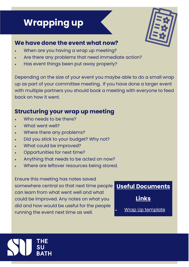## **Wrapping up**



#### **We have done the event what now?**

- When are you having a wrap up meeting?
- Are there any problems that need immediate action?
- Has event things been put away properly?

Depending on the size of your event you maybe able to do a small wrap up as part of your committee meeting, If you have done a larger event with multiple partners you should book a meeting with everyone to feed back on how it went.

#### **Structuring your wrap up meeting**

- Who needs to be there?
- What went well?
- Where there any problems?
- Did you stick to your budget? Why not?
- What could be improved?
- Opportunities for next time?
- Anything that needs to be acted on now?
- Where are leftover resources being stored.

Ensure this meeting has notes saved somewhere central so that next time people can learn from what went well and what could be improved. Any notes on what you did and how would be useful for the people running the event next time as well.

#### **Useful Documents**

**Links** 

• [Wrap Up template](https://www.thesubath.com/pageassets/resources/run-volunteer-group/Wash-up-Agenda.pdf)